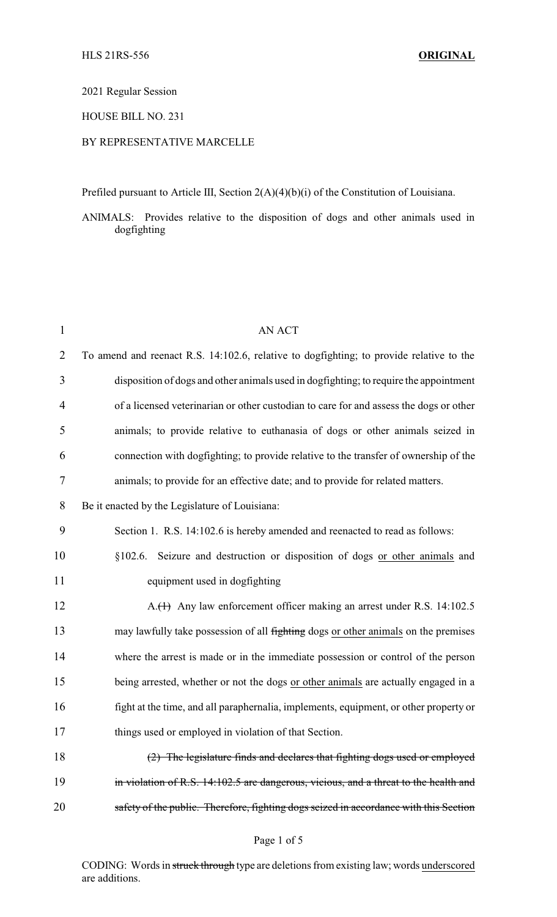# 2021 Regular Session

# HOUSE BILL NO. 231

# BY REPRESENTATIVE MARCELLE

Prefiled pursuant to Article III, Section 2(A)(4)(b)(i) of the Constitution of Louisiana.

ANIMALS: Provides relative to the disposition of dogs and other animals used in dogfighting

| $\mathbf{1}$   | <b>AN ACT</b>                                                                           |
|----------------|-----------------------------------------------------------------------------------------|
| $\overline{2}$ | To amend and reenact R.S. 14:102.6, relative to dogfighting; to provide relative to the |
| 3              | disposition of dogs and other animals used in dogfighting; to require the appointment   |
| $\overline{4}$ | of a licensed veterinarian or other custodian to care for and assess the dogs or other  |
| 5              | animals; to provide relative to euthanasia of dogs or other animals seized in           |
| 6              | connection with dogfighting; to provide relative to the transfer of ownership of the    |
| 7              | animals; to provide for an effective date; and to provide for related matters.          |
| 8              | Be it enacted by the Legislature of Louisiana:                                          |
| 9              | Section 1. R.S. 14:102.6 is hereby amended and reenacted to read as follows:            |
| 10             | §102.6. Seizure and destruction or disposition of dogs or other animals and             |
| 11             | equipment used in dogfighting                                                           |
| 12             | A. <del>(1)</del> Any law enforcement officer making an arrest under R.S. 14:102.5      |
| 13             | may lawfully take possession of all fighting dogs or other animals on the premises      |
| 14             | where the arrest is made or in the immediate possession or control of the person        |
| 15             | being arrested, whether or not the dogs or other animals are actually engaged in a      |
| 16             | fight at the time, and all paraphernalia, implements, equipment, or other property or   |
| 17             | things used or employed in violation of that Section.                                   |
| 18             | (2) The legislature finds and declares that fighting dogs used or employed              |
| 19             | in violation of R.S. 14:102.5 are dangerous, vicious, and a threat to the health and    |
| 20             | safety of the public. Therefore, fighting dogs seized in accordance with this Section   |

## Page 1 of 5

CODING: Words in struck through type are deletions from existing law; words underscored are additions.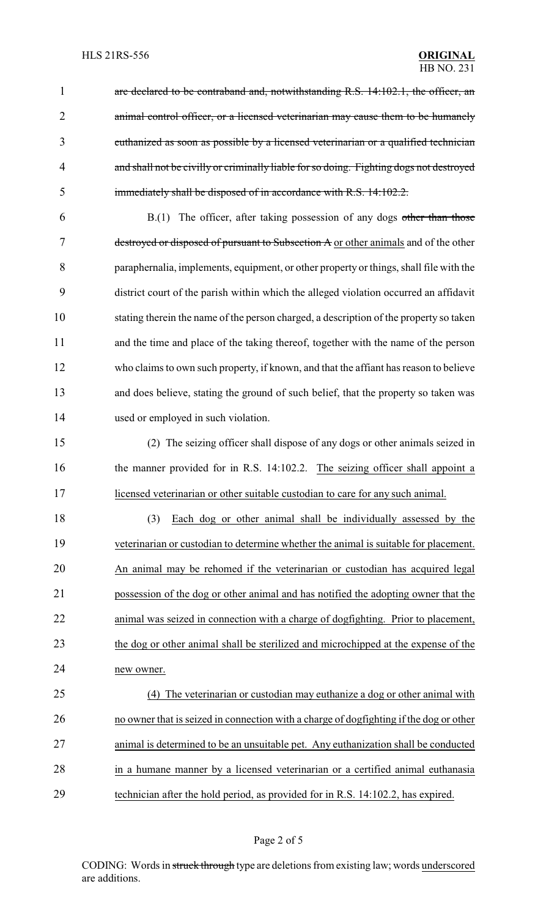1 are declared to be contraband and, notwithstanding R.S. 14:102.1, the officer, an 2 animal control officer, or a licensed veterinarian may cause them to be humanely euthanized as soon as possible by a licensed veterinarian or a qualified technician and shall not be civilly or criminally liable for so doing. Fighting dogs not destroyed immediately shall be disposed of in accordance with R.S. 14:102.2.

 B.(1) The officer, after taking possession of any dogs other than those destroyed or disposed of pursuant to Subsection A or other animals and of the other paraphernalia, implements, equipment, or other property or things, shall file with the district court of the parish within which the alleged violation occurred an affidavit stating therein the name of the person charged, a description of the property so taken and the time and place of the taking thereof, together with the name of the person who claims to own such property, if known, and that the affiant has reason to believe and does believe, stating the ground of such belief, that the property so taken was used or employed in such violation.

 (2) The seizing officer shall dispose of any dogs or other animals seized in 16 the manner provided for in R.S. 14:102.2. The seizing officer shall appoint a licensed veterinarian or other suitable custodian to care for any such animal.

18 (3) Each dog or other animal shall be individually assessed by the veterinarian or custodian to determine whether the animal is suitable for placement. An animal may be rehomed if the veterinarian or custodian has acquired legal possession of the dog or other animal and has notified the adopting owner that the animal was seized in connection with a charge of dogfighting. Prior to placement, the dog or other animal shall be sterilized and microchipped at the expense of the new owner.

 (4) The veterinarian or custodian may euthanize a dog or other animal with no owner that is seized in connection with a charge of dogfighting if the dog or other animal is determined to be an unsuitable pet. Any euthanization shall be conducted in a humane manner by a licensed veterinarian or a certified animal euthanasia technician after the hold period, as provided for in R.S. 14:102.2, has expired.

CODING: Words in struck through type are deletions from existing law; words underscored are additions.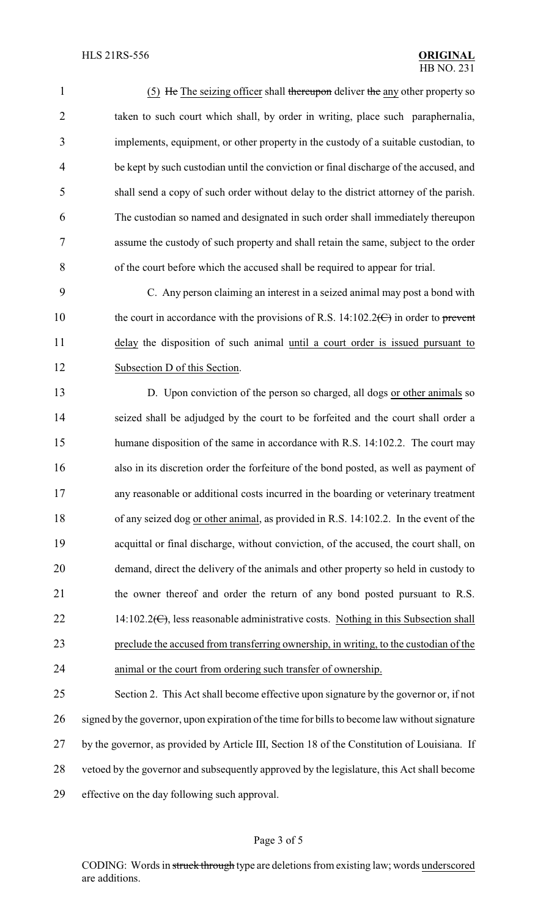1 (5) He The seizing officer shall thereupon deliver the any other property so 2 taken to such court which shall, by order in writing, place such paraphernalia, implements, equipment, or other property in the custody of a suitable custodian, to be kept by such custodian until the conviction or final discharge of the accused, and shall send a copy of such order without delay to the district attorney of the parish. The custodian so named and designated in such order shall immediately thereupon assume the custody of such property and shall retain the same, subject to the order of the court before which the accused shall be required to appear for trial.

 C. Any person claiming an interest in a seized animal may post a bond with 10 the court in accordance with the provisions of R.S. 14:102.2 $\left(\frac{C}{C}\right)$  in order to prevent delay the disposition of such animal until a court order is issued pursuant to Subsection D of this Section.

 D. Upon conviction of the person so charged, all dogs or other animals so seized shall be adjudged by the court to be forfeited and the court shall order a 15 humane disposition of the same in accordance with R.S. 14:102.2. The court may also in its discretion order the forfeiture of the bond posted, as well as payment of any reasonable or additional costs incurred in the boarding or veterinary treatment of any seized dog or other animal, as provided in R.S. 14:102.2. In the event of the acquittal or final discharge, without conviction, of the accused, the court shall, on demand, direct the delivery of the animals and other property so held in custody to 21 the owner thereof and order the return of any bond posted pursuant to R.S. 22 14:102.2 $(\epsilon)$ , less reasonable administrative costs. Nothing in this Subsection shall preclude the accused from transferring ownership, in writing, to the custodian of the animal or the court from ordering such transfer of ownership.

 Section 2. This Act shall become effective upon signature by the governor or, if not signed by the governor, upon expiration of the time for bills to become law without signature by the governor, as provided by Article III, Section 18 of the Constitution of Louisiana. If vetoed by the governor and subsequently approved by the legislature, this Act shall become effective on the day following such approval.

#### Page 3 of 5

CODING: Words in struck through type are deletions from existing law; words underscored are additions.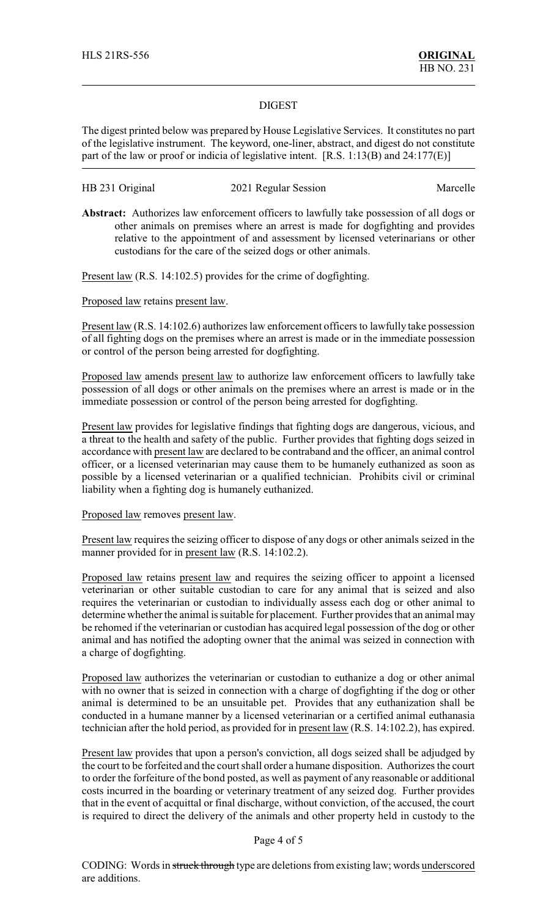### DIGEST

The digest printed below was prepared by House Legislative Services. It constitutes no part of the legislative instrument. The keyword, one-liner, abstract, and digest do not constitute part of the law or proof or indicia of legislative intent. [R.S. 1:13(B) and 24:177(E)]

# HB 231 Original 2021 Regular Session Marcelle

**Abstract:** Authorizes law enforcement officers to lawfully take possession of all dogs or other animals on premises where an arrest is made for dogfighting and provides relative to the appointment of and assessment by licensed veterinarians or other custodians for the care of the seized dogs or other animals.

Present law (R.S. 14:102.5) provides for the crime of dogfighting.

Proposed law retains present law.

Present law (R.S. 14:102.6) authorizes law enforcement officers to lawfully take possession of all fighting dogs on the premises where an arrest is made or in the immediate possession or control of the person being arrested for dogfighting.

Proposed law amends present law to authorize law enforcement officers to lawfully take possession of all dogs or other animals on the premises where an arrest is made or in the immediate possession or control of the person being arrested for dogfighting.

Present law provides for legislative findings that fighting dogs are dangerous, vicious, and a threat to the health and safety of the public. Further provides that fighting dogs seized in accordance with present law are declared to be contraband and the officer, an animal control officer, or a licensed veterinarian may cause them to be humanely euthanized as soon as possible by a licensed veterinarian or a qualified technician. Prohibits civil or criminal liability when a fighting dog is humanely euthanized.

#### Proposed law removes present law.

Present law requires the seizing officer to dispose of any dogs or other animals seized in the manner provided for in present law (R.S. 14:102.2).

Proposed law retains present law and requires the seizing officer to appoint a licensed veterinarian or other suitable custodian to care for any animal that is seized and also requires the veterinarian or custodian to individually assess each dog or other animal to determine whether the animal is suitable for placement. Further provides that an animal may be rehomed if the veterinarian or custodian has acquired legal possession of the dog or other animal and has notified the adopting owner that the animal was seized in connection with a charge of dogfighting.

Proposed law authorizes the veterinarian or custodian to euthanize a dog or other animal with no owner that is seized in connection with a charge of dogfighting if the dog or other animal is determined to be an unsuitable pet. Provides that any euthanization shall be conducted in a humane manner by a licensed veterinarian or a certified animal euthanasia technician after the hold period, as provided for in present law (R.S. 14:102.2), has expired.

Present law provides that upon a person's conviction, all dogs seized shall be adjudged by the court to be forfeited and the court shall order a humane disposition. Authorizes the court to order the forfeiture of the bond posted, as well as payment of any reasonable or additional costs incurred in the boarding or veterinary treatment of any seized dog. Further provides that in the event of acquittal or final discharge, without conviction, of the accused, the court is required to direct the delivery of the animals and other property held in custody to the

## Page 4 of 5